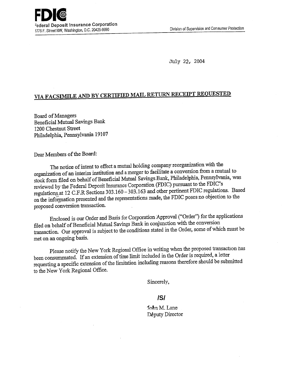**FDK CONTROLLER COLLEGATE** 1776 F. Street NW, Washington, D.C. 20429-9990

July 22, 2004

# **VIA FACSIMILE AND BY CERTIFIED MAIL RETURN RECEIPT REQUESTED**

Board of Managers Beneficial Mutual Savings Bank 1200 Chestnut Street Philadelphia, Pennsylvania 19107

Dear Members of the Board:

The notice of intent to effect a mutual holding company reorganization with the organization of an interim institution and a merger to facilitate a conversion from a mutual to stock form filed on behalf of Beneficial Mutual Savings Bank, Philadelphia, Pennsylvania, was reviewed by the Federal Deposit insurance Corporation (FDIC) pursuant to the FDIC's regulations, at 12 C.F.R Sections 303.160 - 303.163 and other pertinent FDIC regulations. Based on the information presented and the representations made, the FDIC poses no objection to the proposed conversion transaction.

Enclosed is our Order and Basis for Corporation Approval ("Order") for the applications filed on behalf of Beneficial Mutual Savings Bank in conjunction with the conversion transaction. Our approval is subject to the conditions stated in the Order, some of which must be met on an ongoing basis.

Please notify the New York Regional Office in writing when the proposed transaction has been consummated. If an extension of time limit included in the Order is required, a letter requesting a specific extension of the limitation including reasons therefore should be submitted to the New York Regional Office.

Sincerely,

#### **/S/**

John M. Lane Deputy Director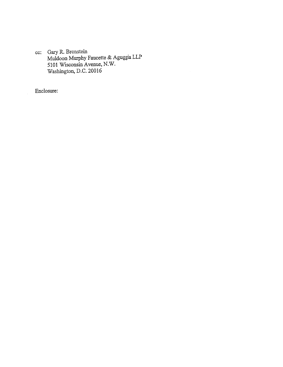c: Gary R. Bronstein Muldoon Murphy Faucette & Aguggia LLP 5101 Wisconsin Avenue, N.W. Washington, D.C. 20016

Enclosure: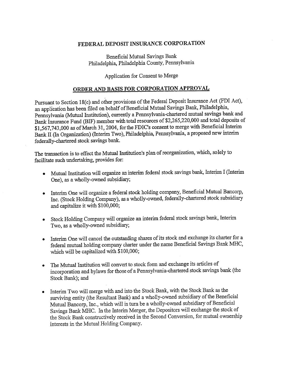#### **FEDERAL DEPOSIT INSURANCE CORPORATION**

Beneficial Mutual Savings Bank Philadelphia, Philadelphia County, Pennsylvania

### Application for Consent to Merge

## **ORDER AND BASIS FOR CORPORATION APPROVAL**

Pursuant to Section 18(c) and other provisions of the Federal Deposit Insurance Act (FDI Act), an application has been filed on behalf of Beneficial Mutual Savings Bank, Philadelphia, Pennsylvania (Mutual Institution), currently a Pennsylvania-chartered mutual savings bank and Bank Insurance Fund (BIF) member with total resources of \$2,265,220,000 and total deposits of \$1,567,743,000 as of March 31, 2004, for the FDIC's consent to merge with Beneficial Interim **Bank** II (In Organization) (Interim Two), Philadelphia, Pennsylvania, a proposed new interim federally-chartered stock savings bank.

The transaction is to effect the Mutual Institution's plan of reorganization, which, solely to facilitate such undertaking, provides for:

- Mutual Institution will organize an interim federal stock savings bank, Interim I (Interim One), as a wholly-owned subsidiary;
- Interim One will organize a federal stock holding company, Beneficial Mutual Bancorp, Inc. (Stock Holding Company), as a wholly-owned, federally-chartered stock subsidiary and capitalize it with \$100,000;
- Stock Holding Company will organize an interim federal stock savings bank, Interim Two, as a wholly-owned subsidiary;
- Interim One will cancel the outstanding shares of its stock and exchange its charter for a federal mutual holding company charter under the name Beneficial Savings Bank MHC, which will be capitalized with \$100,000;
- The Mutual Institution will convert to stock form and exchange its articles of incorporation and bylaws for those of a Pennsylvania-chartered stock savings bank (the Stock Bank); and
- Interim Two will merge with and into the Stock Bank, with the Stock Bank as the surviving entity (the Resultant Bank) and a wholly-owned subsidiary of the Beneficial Mutual Bancorp, Inc., which will in turn be a wholly-owned subsidiary of Beneficial Savings Bank MHC. In the Interim Merger, the Depositors will exchange the stock of the Stock Bank constructively received in the Second Conversion, for mutual ownership interests in the Mutual Holding Company.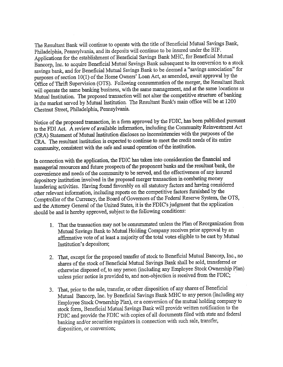The Resultant Bank will continue to operate with the title of Beneficial Mutual Savings Bank, Philadelphia, Pennsylvania, and its deposits will continue to be insured under the BIF. Applications for the establishment of Beneficial Savings Bank MHC, for Beneficial Mutual Bancorp, Inc. to acquire Beneficial Mutual Savings Bank subsequent to its conversion to a stock savings bank, and for Beneficial Mutual Savings Bank to be deemed a "savings association" for purposes of section 10(1) of the Home Owners' Loan Act, as amended, await approval by the Office of Thrift Supervision (OTS). Following consummation of the merger, the Resultant Bank will operate the same banking business, with the same management, and at the same locations as Mutual Institution. The proposed transaction will not alter the competitive structure of banking in the market served by Mutual Institution. The Resultant Bank's main office will be at 1200 Chestnut Street, Philadelphia, Pennsylvania.

Notice of the proposed transaction, in a form approved by the FDIC, has been published pursuant to the FDI Act. A review of available information, including the Community Reinvestment Act (CRA) Statement of Mutual Institution discloses no inconsistencies with the purposes of the CRA. The resultant institution is expected to continue to meet the credit needs of its entire community, consistent with the safe and sound operation of the institution.

In connection with the application, the FDIC has taken into consideration the financial and managerial resources and future prospects of the proponent banks and the resultant bank, the convenience and needs of the community to be served, and the effectiveness of any insured depository institution involved in the proposed merger transaction in combating money laundering activities. Having found favorably on all statutory factors and having considered other relevant information, including reports on the competitive factors furnished by the Comptroller of the Currency, the Board of Governors of the Federal Reserve System, the OTS, and the Attorney General of the United States, it is the FDIC's judgment that the application should be and is hereby approved, subject to the following conditions:

- 1. That the transaction may not be consummated unless the Plan of Reorganization from Mutual Savings Bank to Mutual Holding Company receives prior approval by an affirmative vote of at least a majority of the total votes eligible to be cast by Mutual Institution's depositors;
- 2. That, except for the proposed transfer of stock to Beneficial Mutual Bancorp, Inc., no shares of the stock of Beneficial Mutual Savings Bank shall be sold, transferred or otherwise disposed of, to any person (including any Employee Stock Ownership Plan) unless prior notice is provided to, and non-objection is received from the FDIC;
- 3. That, prior to the sale, transfer, or other disposition of any shares of Beneficial Mutual Bancorp, Inc. by Beneficial Savings Bank MHC to any person (including any Employee Stock Ownership Plan), or a conversion of the mutual holding company to stock form, Beneficial Mutual Savings Bank will provide written notification to the FDIC and provide the FDIC with copies of all documents filed with state and federal banking and/or securities regulators in connection with such sale, transfer, disposition, or conversion;